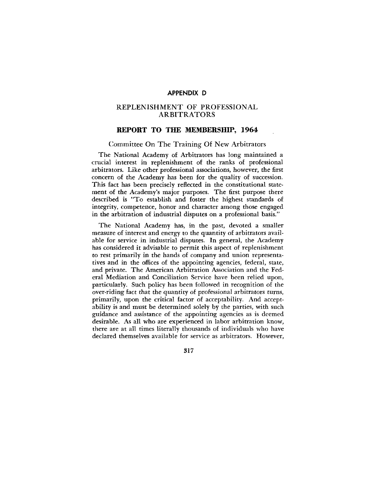# REPLENISHMENT OF PROFESSIONAL ARBITRATORS

# **REPORT TO THE MEMBERSHIP, 1964**

### Committee On The Training Of New Arbitrators

The National Academy of Arbitrators has long maintained a crucial interest in replenishment of the ranks of professional arbitrators. Like other professional associations, however, the first concern of the Academy has been for the quality of succession. This fact has been precisely reflected in the constitutional statement of the Academy's major purposes. The first purpose there described is "To establish and foster the highest standards of integrity, competence, honor and character among those engaged in the arbitration of industrial disputes on a professional basis."

The National Academy has, in the past, devoted a smaller measure of interest and energy to the quantity of arbitrators available for service in industrial disputes. In general, the Academy has considered it advisable to permit this aspect of replenishment to rest primarily in the hands of company and union representatives and in the offices of the appointing agencies, federal, state, and private. The American Arbitration Association and the Federal Mediation and Conciliation Service have been relied upon, particularly. Such policy has been followed in recognition of the over-riding fact that the quantity of professional arbitrators turns, primarily, upon the critical factor of acceptability. And acceptability is and must be determined solely by the parties, with such guidance and assistance of the appointing agencies as is deemed desirable. As all who are experienced in labor arbitration know, there are at all times literally thousands of individuals who have declared themselves available for service as arbitrators. However,

317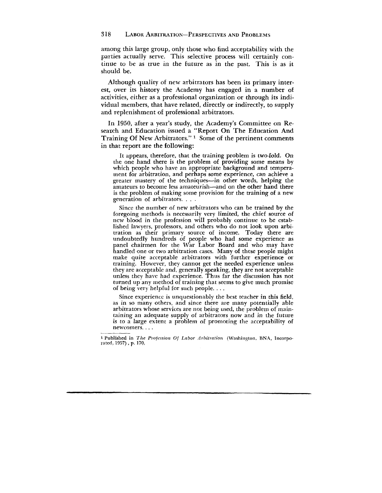among this large group, only those who find acceptability with the parties actually serve. This selective process will certainly continue to be as true in the future as in the past. This is as it should be.

Although quality of new arbitrators has been its primary interest, over its history the Academy has engaged in a number of: activities, either as a professional organization or through its individual members, that have related, directly or indirectly, to supply and replenishment of professional arbitrators.

In 1950, after a year's study, the Academy's Committee on Research and Education issued a "Report On The Education And Training Of New Arbitrators."<sup>1</sup> Some of the pertinent comments in that report are the following:

It appears, therefore, that the training problem is two-fold. On the one hand there is the problem of providing some means by which people who have an appropriate background and temperament for arbitration, and perhaps some experience, can achieve a greater mastery of the techniques—in other words, helping the amateurs to become less amateurish—and on the other hand there is the problem of making some provision for the training of a new generation of arbitrators. . . .

Since the number of new arbitrators who can be trained by the foregoing methods is necessarily very limited, the chief source of new blood in the profession will probably continue to be established lawyers, professors, and others who do not look upon arbitration as their primary source of income. Today there are undoubtedly hundreds of people who had some experience as panel chairmen for the War Labor Board and who may have handled one or two arbitration cases. Many of these people might make quite acceptable arbitrators with further experience or training. However, they cannot get the needed experience unless they are acceptable and, generally speaking, they are not acceptable unless they have had experience. Thus far the discussion has not turned up any method of training that seems to give much promise of being very helpful for such people. . . .

Since experience is unquestionably the best teacher in this field, as in so many others, and since there are many potentially able arbitrators whose services are not being used, the problem of maintaining an adequate supply of arbitrators now and in the future is to a large extent a problem of promoting the acceptability of newcomers. . . .

**l Published in** *The Profession Of Labor Arbitration* **(Washington, BNA, Incorporated, 1957), p. 170,**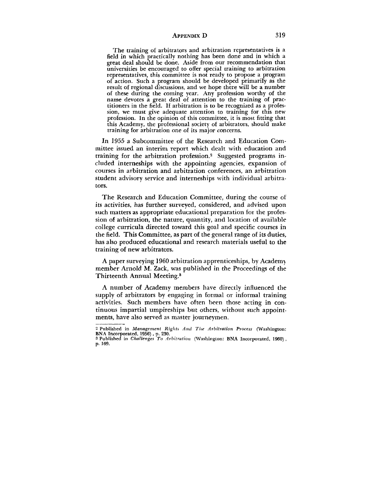The training of arbitrators and arbitration representatives is a field in which practically nothing has been done and in which a great deal should be done. Aside from our recommendation that universities be encouraged to offer special training to arbitration representatives, this committee is not ready to propose a program of action. Such a program should be developed primarily as the result of regional discussions, and we hope there will be a number of these during the coming year. Any profession worthy of the name devotes a great deal of attention to the training of practitioners in the field. If arbitration is to be recognized as a profession, we must give adequate attention to training for this new profession. In the opinion of this committee, it is most fitting that this Academy, the professional society of arbitrators, should make training for arbitration one of its major concerns.

In 1955 a Subcommittee of the Research and Education Committee issued an interim report which dealt with education and training for the arbitration profession.<sup>2</sup> Suggested programs included interneships with the appointing agencies, expansion of courses in arbitration and arbitration conferences, an arbitration student advisory service and interneships with individual arbitrators.

The Research and Education Committee, during the course of its activities, has further surveyed, considered, and advised upon such matters as appropriate educational preparation for the profession of arbitration, the nature, quantity, and location of available college curricula directed toward this goal and specific courses in the field. This Committee, as part of the general range of its duties, has also produced educational and research materials useful to the training of new arbitrators.

A paper surveying 1960 arbitration apprenticeships, by Academy member Arnold M. Zack, was published in the Proceedings of the Thirteenth Annual Meeting.<sup>3</sup>

A number of Academy members have directly influenced the supply of arbitrators by engaging in formal or informal training activities. Such members have often been those acting in continuous impartial umpireships but others, without such appointments, have also served as master journeymen.

<sup>2</sup> Published in *Management Rights And Tfie Arbitration Process* (Washington: BNA Incorporated, 1956), p. 230.

<sup>3</sup> Published in *Challenges To Arbitration* (Washington: BNA Incorporated, 1960) , p. 169.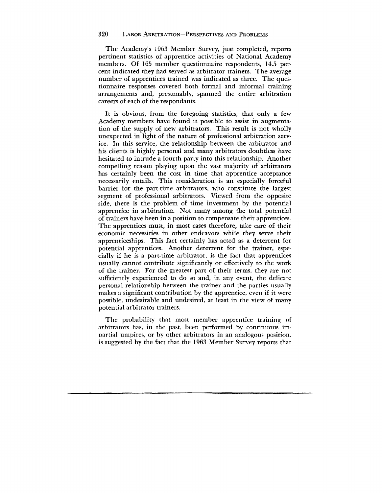The Academy's 1963 Member Survey, just completed, reports pertinent statistics of apprentice activities of National Academy members. Of 165 member questionnaire respondents, 14.5 percent indicated they had served as arbitrator trainers. The average number of apprentices trained was indicated as three. The questionnaire responses covered both formal and informal training arrangements and, presumably, spanned the entire arbitration careers of each of the respondants.

It is obvious, from the foregoing statistics, that only a few Academy members have found it possible to assist in augmentation of the supply of new arbitrators. This result is not wholly unexpected in light of the nature of professional arbitration service. In this service, the relationship between the arbitrator and his clients is highly personal and many arbitrators doubtless have hesitated to intrude a fourth party into this relationship. Another compelling reason playing upon the vast majority of arbitrators has certainly been the cost in time that apprentice acceptance necessarily entails. This consideration is an especially forceful barrier for the part-time arbitrators, who constitute the largest segment of professional arbitrators. Viewed from the opposite side, there is the problem of time investment by the potential apprentice in arbitration. Not many among the total potential of trainers have been in a position to compensate their apprentices. The apprentices must, in most cases therefore, take care of their economic necessities in other endeavors while they serve their apprenticeships. This fact certainly has acted as a deterrent for potential apprentices. Another deterrent for the trainer, especially if he is a part-time arbitrator, is the fact that apprentices usually cannot contribute significantly or effectively to the work of the trainer. For the greatest part of their terms, they are not sufficiently experienced to do so and, in any event, the delicate personal relationship between the trainer and the parties usually makes a significant contribution by the apprentice, even if it were possible, undesirable and undesired, at least in the view of many potential arbitrator trainers.

The probability that most member apprentice training of arbitrators has, in the past, been performed by continuous impartial umpires, or by other arbitrators in an analogous position, is suggested by the fact that the 1963 Member Survey reports that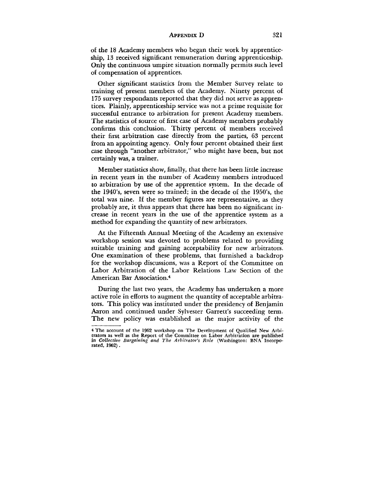of the 18 Academy members who began their work by apprenticeship, 13 received significant remuneration during apprenticeship. Only the continuous umpire situation normally permits such level of compensation of apprentices.

Other significant statistics from the Member Survey relate to training of present members of the Academy. Ninety percent of 175 survey respondants reported that they did not serve as apprentices. Plainly, apprenticeship service was not a prime requisite for successful entrance to arbitration for present Academy members. The statistics of source of first case of Academy members probably confirms this conclusion. Thirty percent of members received their first arbitration case directly from the parties, 63 percent from an appointing agency. Only four percent obtained their first case through "another arbitrator," who might have been, but not certainly was, a trainer.

Member statistics show, finally, that there has been little increase in recent years in the number of Academy members introduced to arbitration by use of the apprentice system. In the decade of the 1940's, seven were so trained; in the decade of the 1950's, the total was nine. If the member figures are representative, as they probably are, it thus appears that there has been no significant increase in recent years in the use of the apprentice system as a method for expanding the quantity of new arbitrators.

At the Fifteenth Annual Meeting of the Academy an extensive workshop session was devoted to problems related to providing suitable training and gaining acceptability for new arbitrators. One examination of these problems, that furnished a backdrop for the workshop discussions, was a Report of the Committee on Labor Arbitration of the Labor Relations Law Section of the American Bar Association.<sup>4</sup>

During the last two years, the Academy has undertaken a more active role in efforts to augment the quantity of acceptable arbitrators. This policy was instituted under the presidency of Benjamin Aaron and continued under Sylvester Garrett's succeeding term. The new policy was established as the major activity of the

<sup>4</sup> The account of the 1962 workshop on The Development of Qualified New Arbitrators as well as the Report of the Committee on Labor Arbitration are published in *Collective Bargaining and The Arbitrator's Role* (Washington: BNA Incorporated, 1962).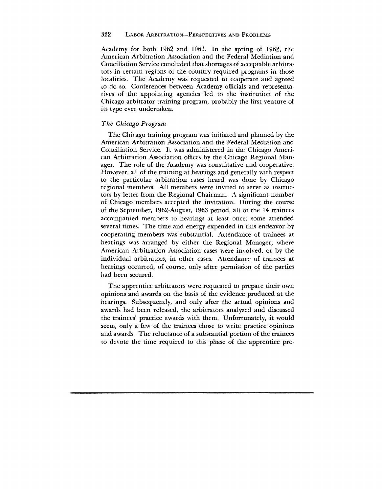### 322 LABOR ARBITRATION—PERSPECTIVES AND PROBLEMS

Academy for both 1962 and 1963. In the spring of 1962, the American Arbitration Association and the Federal Mediation and Conciliation Service concluded that shortages of acceptable arbitrators in certain regions of the country required programs in those localities. The Academy was requested to cooperate and agreed to do so. Conferences between Academy officials and representatives of the appointing agencies led to the institution of the Chicago arbitrator training program, probably the first venture of its type ever undertaken.

### *The Chicago Program*

The Chicago training program was initiated and planned by the American Arbitration Association and the Federal Mediation and Conciliation Service. It was administered in the Chicago American Arbitration Association offices by the Chicago Regional Manager. The role of the Academy was consultative and cooperative. However, all of the training at hearings and generally with respect to the particular arbitration cases heard was done by Chicago regional members. All members were invited to serve as instructors by letter from the Regional Chairman. A significant number of Chicago members accepted the invitation. During the course of the September, 1962-August, 1963 period, all of the 14 trainees accompanied members to hearings at least once; some attended several times. The time and energy expended in this endeavor by cooperating members was substantial. Attendance of trainees at hearings was arranged by either the Regional Manager, where American Arbitration Association cases were involved, or by the individual arbitrators, in other cases. Attendance of trainees at hearings occurred, of course, only after permission of the parties had been secured.

The apprentice arbitrators were requested to prepare their own opinions and awards on the basis of the evidence produced at the hearings. Subsequently, and only after the actual opinions and awards had been released, the arbitrators analyzed and discussed the trainees' practice awards with them. Unfortunately, it would seem, only a few of the trainees chose to write practice opinions and awards. The reluctance of a substantial portion of the trainees to devote the time required to this phase of the apprentice pro-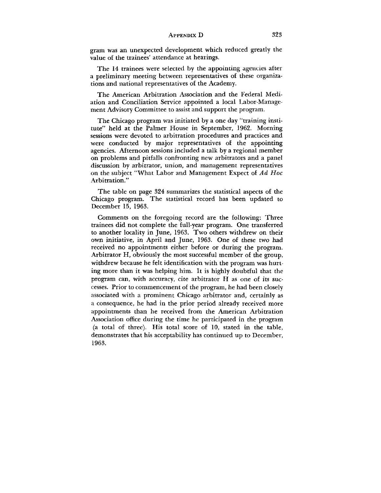gram was an unexpected development which reduced greatly the value of the trainees' attendance at hearings.

The 14 trainees were selected by the appointing agencies after a preliminary meeting between representatives of these organizations and national representatives of the Academy.

The American Arbitration Association and the Federal Mediation and Conciliation Service appointed a local Labor-Management Advisory Committee to assist and support the program.

The Chicago program was initiated by a one day "training institute" held at the Palmer House in September, 1962. Morning sessions were devoted to arbitration procedures and practices and were conducted by major representatives of the appointing agencies. Afternoon sessions included a talk by a regional member on problems and pitfalls confronting new arbitrators and a panel discussion by arbitrator, union, and management representatives on the subject "What Labor and Management Expect of *Ad Hoc* Arbitration."

The table on page 324 summarizes the statistical aspects of the Chicago program. The statistical record has been updated to December 15, 1963.

Comments on the foregoing record are the following: Three trainees did not complete the full-year program. One transferred to another locality in June, 1963. Two others withdrew on their own initiative, in April and June, 1963. One of these two had received no appointments either before or during the program. Arbitrator H, obviously the most successful member of the group, withdrew because he felt identification with the program was hurting more than it was helping him. It is highly doubtful that the program can, with accuracy, cite arbitrator H as one of its successes. Prior to commencement of the program, he had been closely associated with a prominent Chicago arbitrator and, certainly as a consequence, he had in the prior period already received more appointments than he received from the American Arbitration Association office during the time he participated in the program (a total of three). His total score of 10, stated in the table, demonstrates that his acceptability has continued up to December, 1963.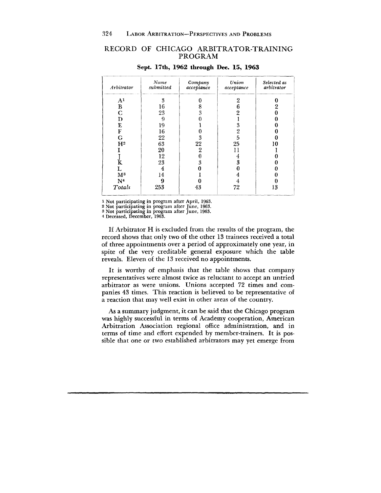# RECORD OF CHICAGO ARBITRATOR-TRAINING PROGRAM

| Arbitrator     | Name<br>submitted | Company<br>acceptance | Union<br>acceptance | Selected as<br>arbitrator |
|----------------|-------------------|-----------------------|---------------------|---------------------------|
| A <sup>1</sup> | 3                 |                       | 2                   |                           |
| B              | 16                | 8                     | 6                   | 2                         |
| $\overline{C}$ | 23                | $\overline{3}$        | 2                   |                           |
| D              | 9                 |                       |                     |                           |
| E              | 19                |                       | 3                   |                           |
| F              | 16                |                       | 2                   |                           |
| G              | 22                | 3                     | 5                   |                           |
| $\mathbf{H}^2$ | 63                | 22                    | 25                  | 10                        |
|                | 20                | $\overline{2}$        |                     |                           |
|                | 12                | 0                     | 4                   |                           |
| K              | 23                | 3                     | 3                   |                           |
| L              | 4                 |                       |                     |                           |
| M <sup>3</sup> | 14                |                       |                     |                           |
| N <sup>4</sup> | 9                 |                       |                     |                           |
| Totals         | 253               | 43                    | 72                  | 13                        |

#### Sept. 17th, 1962 through Dec. 15, 1963

1 Not participating in program after April, 1963.

2 Not participating in program after June, 1963.

3 Not participating in program after June, 1963. 4 Deceased, December, 1963.

If Arbitrator H is excluded from the results of the program, the record shows that only two of the other 13 trainees received a total of three appointments over a period of approximately one year, in spite of the very creditable general exposure which the table reveals. Eleven of the 13 received no appointments.

It is worthy of emphasis that the table shows that company representatives were almost twice as reluctant to accept an untried arbitrator as were unions. Unions accepted 72 times and companies 43 times. This reaction is believed to be representative of a reaction that may well exist in other areas of the country.

As a summary judgment, it can be said that the Chicago program was highly successful in terms of Academy cooperation, American Arbitration Association regional office administration, and in terms of time and effort expended by member-trainers. It is possible that one or two established arbitrators may yet emerge from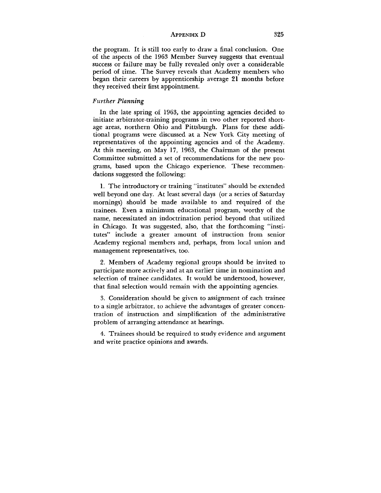the program. It is still too early to draw a final conclusion. One of the aspects of the 1963 Member Survey suggests that eventual success or failure may be fully revealed only over a considerable period of time. The Survey reveals that Academy members who began their careers by apprenticeship average 21 months before they received their first appointment.

### *Further Planning*

In the late spring of 1963, the appointing agencies decided to initiate arbitrator-training programs in two other reported shortage areas, northern Ohio and Pittsburgh. Plans for these additional programs were discussed at a New York City meeting of representatives of the appointing agencies and of the Academy. At this meeting, on May 17, 1963, the Chairman of the present Committee submitted a set of recommendations for the new programs, based upon the Chicago experience. These recommendations suggested the following:

1. The introductory or training "institutes" should be extended well beyond one day. At least several days (or a series of Saturday mornings) should be made available to and required of the trainees. Even a minimum educational program, worthy of the name, necessitated an indoctrination period beyond that utilized in Chicago. It was suggested, also, that the forthcoming "institutes" include a greater amount of instruction from senior Academy regional members and, perhaps, from local union and management representatives, too.

2. Members of Academy regional groups should be invited to participate more actively and at an earlier time in nomination and selection of trainee candidates. It would be understood, however, that final selection would remain with the appointing agencies.

3. Consideration should be given to assignment of each trainee to a single arbitrator, to achieve the advantages of greater concentration of instruction and simplification of the administrative problem of arranging attendance at hearings.

4. Trainees should be required to study evidence and argument and write practice opinions and awards.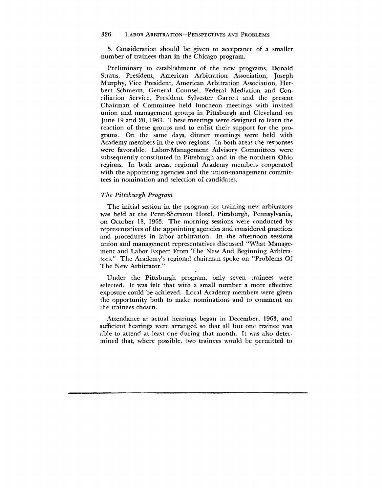5. Consideration should be given to acceptance of a smaller number of trainees than in the Chicago program.

Preliminary to establishment of the new programs, Donald Straus, President, American Arbitration Association, Joseph Murphy, Vice President, American Arbitration Association, Herbert Schmertz, General Counsel, Federal Mediation and Conciliation Service, President Sylvester Garrett and the present Chairman of Committee held luncheon meetings with invited union and management groups in Pittsburgh and Cleveland on June 19 and 20, 1963. These meetings were designed to learn the reaction of these groups and to enlist their support for the programs. On the same days, dinner meetings were held with Academy members in the two regions. In both areas the responses were favorable. Labor-Management Advisory Committees were subsequently constituted in Pittsburgh and in the northern Ohio regions. In both areas, regional Academy members cooperated with the appointing agencies and the union-management committees in nomination and selection of candidates.

## *The Pittsburgh Program*

The initial session in the program for training new arbitrators was held at the Penn-Sheraton Hotel, Pittsburgh, Pennsylvania, on October 18, 1963. The morning sessions were conducted by representatives of the appointing agencies and considered practices and procedures in labor arbitration. In the afternoon sessions union and management representatives discussed "What Management and Labor Expect From The New And Beginning Arbitrators." The Academy's regional chairman spoke on "Problems Of The New Arbitrator."

Under the Pittsburgh program, only seven trainees were selected. It was felt that with a small number a more effective exposure could be achieved. Local Academy members were given the opportunity both to make nominations and to comment on the trainees chosen.

Attendance at actual hearings began in December, 1963, and sufficient hearings were arranged so that all but one trainee was able to attend at least one during that month. It was also determined that, where possible, two trainees would be permitted to